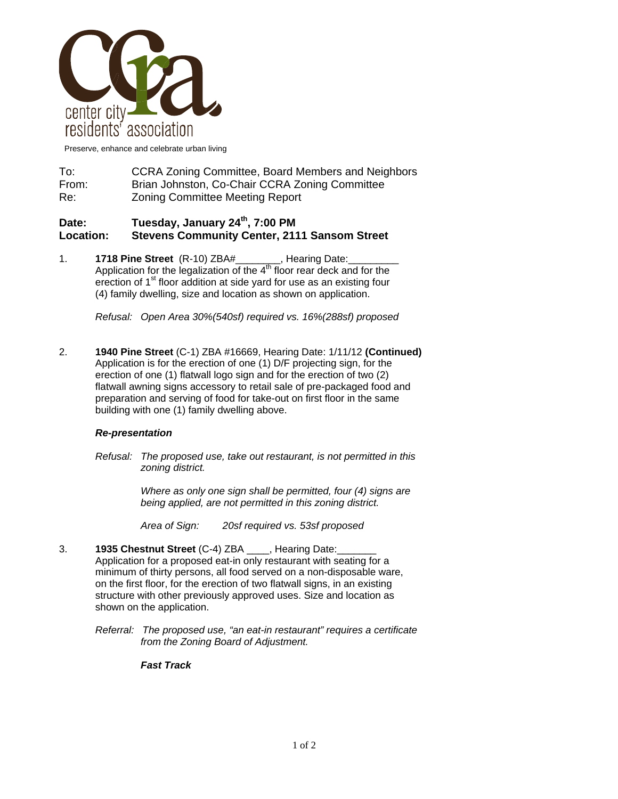

Preserve, enhance and celebrate urban living

To: CCRA Zoning Committee, Board Members and Neighbors From: Brian Johnston, Co-Chair CCRA Zoning Committee Re: Zoning Committee Meeting Report

## **Date: Tuesday, January 24th, 7:00 PM Location: Stevens Community Center, 2111 Sansom Street**

1. **1718 Pine Street** (R-10) ZBA#\_\_\_\_\_\_\_\_, Hearing Date:\_\_\_\_\_\_\_\_\_ Application for the legalization of the  $4<sup>th</sup>$  floor rear deck and for the erection of 1<sup>st</sup> floor addition at side yard for use as an existing four (4) family dwelling, size and location as shown on application.

*Refusal: Open Area 30%(540sf) required vs. 16%(288sf) proposed* 

2. **1940 Pine Street** (C-1) ZBA #16669, Hearing Date: 1/11/12 **(Continued)** Application is for the erection of one (1) D/F projecting sign, for the erection of one (1) flatwall logo sign and for the erection of two (2) flatwall awning signs accessory to retail sale of pre-packaged food and preparation and serving of food for take-out on first floor in the same building with one (1) family dwelling above.

## *Re-presentation*

*Refusal: The proposed use, take out restaurant, is not permitted in this zoning district.* 

> *Where as only one sign shall be permitted, four (4) signs are being applied, are not permitted in this zoning district.*

 *Area of Sign: 20sf required vs. 53sf proposed* 

- 3. **1935 Chestnut Street** (C-4) ZBA \_\_\_\_, Hearing Date:\_\_\_\_\_\_\_ Application for a proposed eat-in only restaurant with seating for a minimum of thirty persons, all food served on a non-disposable ware, on the first floor, for the erection of two flatwall signs, in an existing structure with other previously approved uses. Size and location as shown on the application.
	- *Referral: The proposed use, "an eat-in restaurant" requires a certificate from the Zoning Board of Adjustment.*

## *Fast Track*